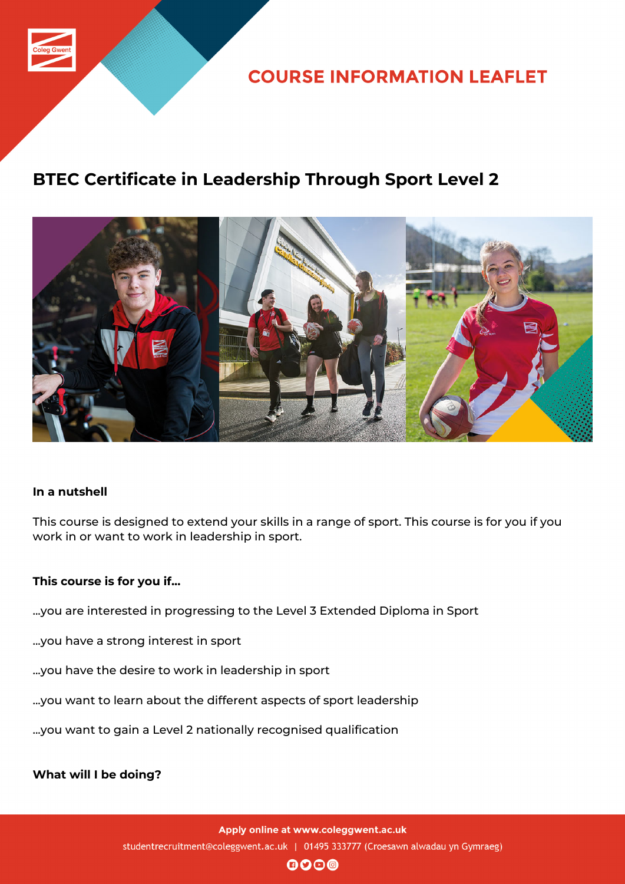

**COURSE INFORMATION LEAFLET** 

## **BTEC Certificate in Leadership Through Sport Level 2**



### **In a nutshell**

This course is designed to extend your skills in a range of sport. This course is for you if you work in or want to work in leadership in sport.

#### **This course is for you if...**

- ...you are interested in progressing to the Level 3 Extended Diploma in Sport
- ...you have a strong interest in sport
- ...you have the desire to work in leadership in sport
- ...you want to learn about the different aspects of sport leadership
- ...you want to gain a Level 2 nationally recognised qualification

**What will I be doing?**

Apply online at www.coleggwent.ac.uk studentrecruitment@coleggwent.ac.uk | 01495 333777 (Croesawn alwadau yn Gymraeg)

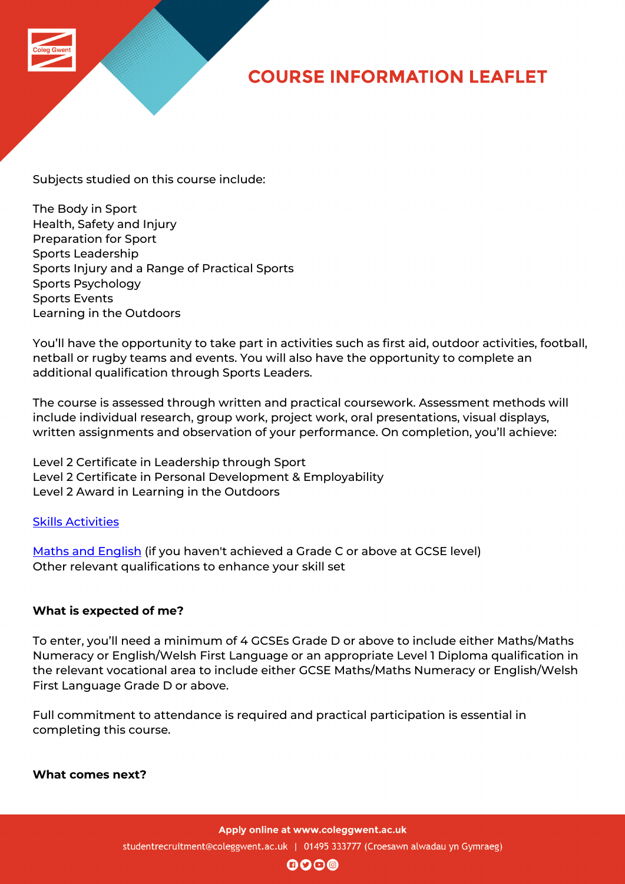# **COURSE INFORMATION LEAFLET**

Subjects studied on this course include:

The Body in Sport Health, Safety and Injury Preparation for Sport Sports Leadership Sports Injury and a Range of Practical Sports Sports Psychology Sports Events Learning in the Outdoors

You'll have the opportunity to take part in activities such as first aid, outdoor activities, football, netball or rugby teams and events. You will also have the opportunity to complete an additional qualification through Sports Leaders.

The course is assessed through written and practical coursework. Assessment methods will include individual research, group work, project work, oral presentations, visual displays, written assignments and observation of your performance. On completion, you'll achieve:

Level 2 Certificate in Leadership through Sport Level 2 Certificate in Personal Development & Employability Level 2 Award in Learning in the Outdoors

Skills Activities

Maths and English (if you haven't achieved a Grade C or above at GCSE level) [Other relevant](http://www.coleggwent.ac.uk/index.php?option=com_content&view=article&id=117#.WT_IG8s5WUk) qualifications to enhance your skill set

### **[What is expected](http://www.coleggwent.ac.uk/index.php?option=com_content&view=article&id=2314) of me?**

To enter, you'll need a minimum of 4 GCSEs Grade D or above to include either Maths/Maths Numeracy or English/Welsh First Language or an appropriate Level 1 Diploma qualification in the relevant vocational area to include either GCSE Maths/Maths Numeracy or English/Welsh First Language Grade D or above.

Full commitment to attendance is required and practical participation is essential in completing this course.

**What comes next?**

Apply online at www.coleggwent.ac.uk

studentrecruitment@coleggwent.ac.uk | 01495 333777 (Croesawn alwadau yn Gymraeg)